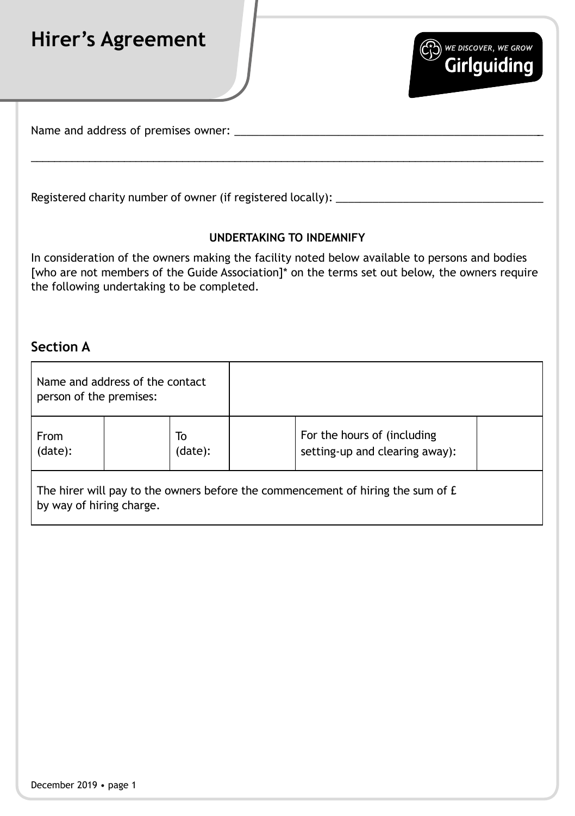## **Hirer's Agreement**



Name and address of premises owner:

Registered charity number of owner (if registered locally):

## **UNDERTAKING TO INDEMNIFY**

\_\_\_\_\_\_\_\_\_\_\_\_\_\_\_\_\_\_\_\_\_\_\_\_\_\_\_\_\_\_\_\_\_\_\_\_\_\_\_\_\_\_\_\_\_\_\_\_\_\_\_\_\_\_\_\_\_\_\_\_\_\_\_\_\_\_\_\_\_\_\_\_\_\_\_\_\_\_\_\_\_\_\_\_\_\_\_\_

In consideration of the owners making the facility noted below available to persons and bodies [who are not members of the Guide Association]\* on the terms set out below, the owners require the following undertaking to be completed.

## **Section A**

| Name and address of the contact<br>person of the premises:                                                  |               |                                                               |  |  |  |
|-------------------------------------------------------------------------------------------------------------|---------------|---------------------------------------------------------------|--|--|--|
| From<br>(data):                                                                                             | To<br>(data): | For the hours of (including<br>setting-up and clearing away): |  |  |  |
| The hirer will pay to the owners before the commencement of hiring the sum of £<br>by way of hiring charge. |               |                                                               |  |  |  |